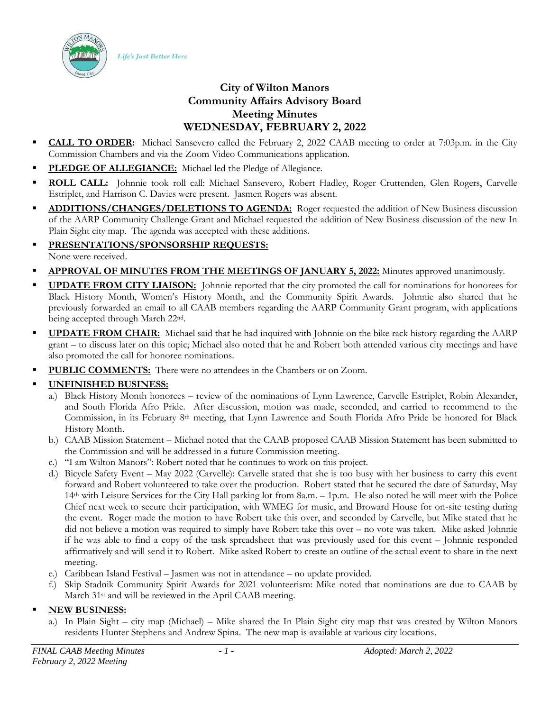Life's Just Better Here



- **CALL TO ORDER:** Michael Sansevero called the February 2, 2022 CAAB meeting to order at 7:03p.m. in the City Commission Chambers and via the Zoom Video Communications application.
- PLEDGE OF ALLEGIANCE: Michael led the Pledge of Allegiance.
- ROLL CALL: Johnnie took roll call: Michael Sansevero, Robert Hadley, Roger Cruttenden, Glen Rogers, Carvelle Estriplet, and Harrison C. Davies were present. Jasmen Rogers was absent.
- ADDITIONS/CHANGES/DELETIONS TO AGENDA: Roger requested the addition of New Business discussion of the AARP Community Challenge Grant and Michael requested the addition of New Business discussion of the new In Plain Sight city map. The agenda was accepted with these additions.
- **PRESENTATIONS/SPONSORSHIP REQUESTS:** None were received.
- APPROVAL OF MINUTES FROM THE MEETINGS OF JANUARY 5, 2022: Minutes approved unanimously.
- **UPDATE FROM CITY LIAISON:** Johnnie reported that the city promoted the call for nominations for honorees for Black History Month, Women's History Month, and the Community Spirit Awards. Johnnie also shared that he previously forwarded an email to all CAAB members regarding the AARP Community Grant program, with applications being accepted through March 22nd.
- **UPDATE FROM CHAIR:** Michael said that he had inquired with Johnnie on the bike rack history regarding the AARP grant – to discuss later on this topic; Michael also noted that he and Robert both attended various city meetings and have also promoted the call for honoree nominations.
- PUBLIC COMMENTS: There were no attendees in the Chambers or on Zoom.
- **UNFINISHED BUSINESS:**
	- a.) Black History Month honorees review of the nominations of Lynn Lawrence, Carvelle Estriplet, Robin Alexander, and South Florida Afro Pride. After discussion, motion was made, seconded, and carried to recommend to the Commission, in its February 8th meeting, that Lynn Lawrence and South Florida Afro Pride be honored for Black History Month.
	- b.) CAAB Mission Statement Michael noted that the CAAB proposed CAAB Mission Statement has been submitted to the Commission and will be addressed in a future Commission meeting.
	- c.) "I am Wilton Manors": Robert noted that he continues to work on this project.
	- d.) Bicycle Safety Event May 2022 (Carvelle): Carvelle stated that she is too busy with her business to carry this event forward and Robert volunteered to take over the production. Robert stated that he secured the date of Saturday, May 14th with Leisure Services for the City Hall parking lot from 8a.m. – 1p.m. He also noted he will meet with the Police Chief next week to secure their participation, with WMEG for music, and Broward House for on-site testing during the event. Roger made the motion to have Robert take this over, and seconded by Carvelle, but Mike stated that he did not believe a motion was required to simply have Robert take this over – no vote was taken. Mike asked Johnnie if he was able to find a copy of the task spreadsheet that was previously used for this event – Johnnie responded affirmatively and will send it to Robert. Mike asked Robert to create an outline of the actual event to share in the next meeting.
	- e.) Caribbean Island Festival Jasmen was not in attendance no update provided.
	- f.) Skip Stadnik Community Spirit Awards for 2021 volunteerism: Mike noted that nominations are due to CAAB by March 31st and will be reviewed in the April CAAB meeting.
- **NEW BUSINESS:** 
	- a.) In Plain Sight city map (Michael) Mike shared the In Plain Sight city map that was created by Wilton Manors residents Hunter Stephens and Andrew Spina. The new map is available at various city locations.